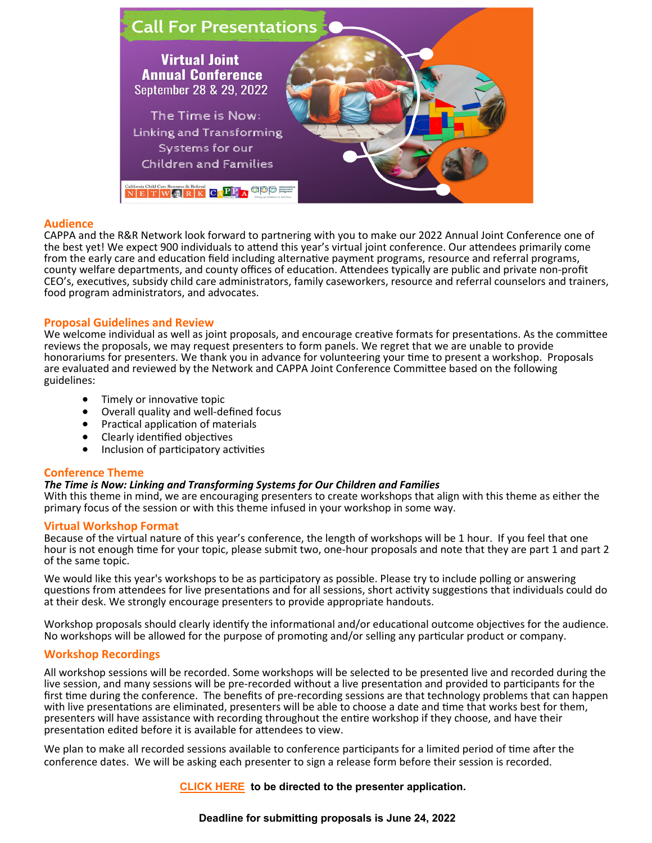

## **Audience**

CAPPA and the R&R Network look forward to partnering with you to make our 2022 Annual Joint Conference one of the best yet! We expect 900 individuals to attend this year's virtual joint conference. Our attendees primarily come from the early care and education field including alternative payment programs, resource and referral programs, county welfare departments, and county offices of education. Attendees typically are public and private non-profit CEO's, executives, subsidy child care administrators, family caseworkers, resource and referral counselors and trainers, food program administrators, and advocates.

## **Proposal Guidelines and Review**

We welcome individual as well as joint proposals, and encourage creative formats for presentations. As the committee reviews the proposals, we may request presenters to form panels. We regret that we are unable to provide honorariums for presenters. We thank you in advance for volunteering your time to present a workshop. Proposals are evaluated and reviewed by the Network and CAPPA Joint Conference Committee based on the following guidelines:

- Timely or innovative topic
- Overall quality and well-defined focus
- Practical application of materials
- Clearly identified objectives
- Inclusion of participatory activities

#### **Conference Theme**

#### *The Time is Now: Linking and Transforming Systems for Our Children and Families*

With this theme in mind, we are encouraging presenters to create workshops that align with this theme as either the primary focus of the session or with this theme infused in your workshop in some way.

#### **Virtual Workshop Format**

Because of the virtual nature of this year's conference, the length of workshops will be 1 hour. If you feel that one hour is not enough time for your topic, please submit two, one-hour proposals and note that they are part 1 and part 2 of the same topic.

We would like this year's workshops to be as participatory as possible. Please try to include polling or answering questions from attendees for live presentations and for all sessions, short activity suggestions that individuals could do at their desk. We strongly encourage presenters to provide appropriate handouts.

Workshop proposals should clearly identify the informational and/or educational outcome objectives for the audience. No workshops will be allowed for the purpose of promoting and/or selling any particular product or company.

#### **Workshop Recordings**

All workshop sessions will be recorded. Some workshops will be selected to be presented live and recorded during the live session, and many sessions will be pre-recorded without a live presentation and provided to participants for the first time during the conference. The benefits of pre-recording sessions are that technology problems that can happen with live presentations are eliminated, presenters will be able to choose a date and time that works best for them, presenters will have assistance with recording throughout the entire workshop if they choose, and have their presentation edited before it is available for attendees to view.

We plan to make all recorded sessions available to conference participants for a limited period of time after the conference dates. We will be asking each presenter to sign a release form before their session is recorded.

#### **[CLICK HERE](https://form.jotform.com/221305954142146) to be directed to the presenter application.**

#### **Deadline for submitting proposals is June 24, 2022**